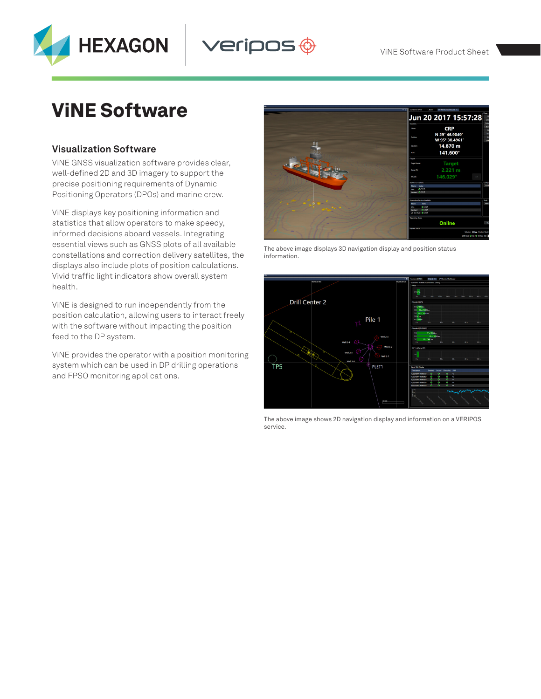

ViNE Software Product Sheet

# ViNE Software

### **Visualization Software**

ViNE GNSS visualization software provides clear, well-defined 2D and 3D imagery to support the precise positioning requirements of Dynamic Positioning Operators (DPOs) and marine crew.

ViNE displays key positioning information and statistics that allow operators to make speedy, informed decisions aboard vessels. Integrating essential views such as GNSS plots of all available constellations and correction delivery satellites, the displays also include plots of position calculations. Vivid traffic light indicators show overall system health.

ViNE is designed to run independently from the position calculation, allowing users to interact freely with the software without impacting the position feed to the DP system.

ViNE provides the operator with a position monitoring system which can be used in DP drilling operations and FPSO monitoring applications.



veripos  $\hat{\mathbb{\Theta}}$ 

The above image displays 3D navigation display and position status information.



The above image shows 2D navigation display and information on a VERIPOS service.